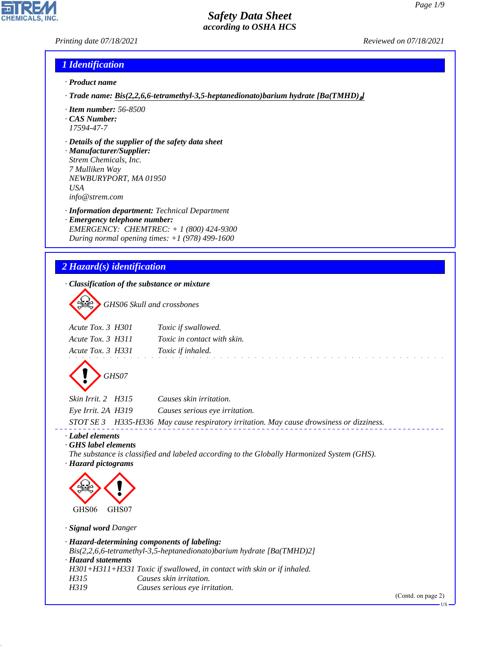### *Printing date 07/18/2021 Reviewed on 07/18/2021*

# *1 Identification*

- *· Product name*
- *· Trade name: Bis(2,2,6,6-tetramethyl-3,5-heptanedionato)barium hydrate [Ba(TMHD)*₂*]*
- *· Item number: 56-8500*
- *· CAS Number: 17594-47-7*
- *· Details of the supplier of the safety data sheet*

*· Manufacturer/Supplier: Strem Chemicals, Inc. 7 Mulliken Way NEWBURYPORT, MA 01950 USA info@strem.com*

*· Information department: Technical Department · Emergency telephone number: EMERGENCY: CHEMTREC: + 1 (800) 424-9300 During normal opening times: +1 (978) 499-1600*

# *2 Hazard(s) identification*

*· Classification of the substance or mixture*

d~*GHS06 Skull and crossbones*

| Acute Tox. 3 H301 | Toxic if swallowed.                |
|-------------------|------------------------------------|
| Acute Tox. 3 H311 | <i>Toxic in contact with skin.</i> |
| Acute Tox. 3 H331 | Toxic if inhaled.                  |
|                   |                                    |



| Skin Irrit. 2   H315 | Causes skin irritation.                                                                  |
|----------------------|------------------------------------------------------------------------------------------|
| Eye Irrit. 2A H319   | Causes serious eve irritation.                                                           |
|                      | STOT SE 3 H335-H336 May cause respiratory irritation. May cause drowsiness or dizziness. |

and a straight

*· Label elements*

*· GHS label elements*

*The substance is classified and labeled according to the Globally Harmonized System (GHS). · Hazard pictograms*



*· Signal word Danger*

*· Hazard-determining components of labeling:*

*Bis(2,2,6,6-tetramethyl-3,5-heptanedionato)barium hydrate [Ba(TMHD)2]*

*· Hazard statements*

44.1.1

*H301+H311+H331 Toxic if swallowed, in contact with skin or if inhaled.*

- *H315 Causes skin irritation.*
- *H319 Causes serious eye irritation.*

(Contd. on page 2)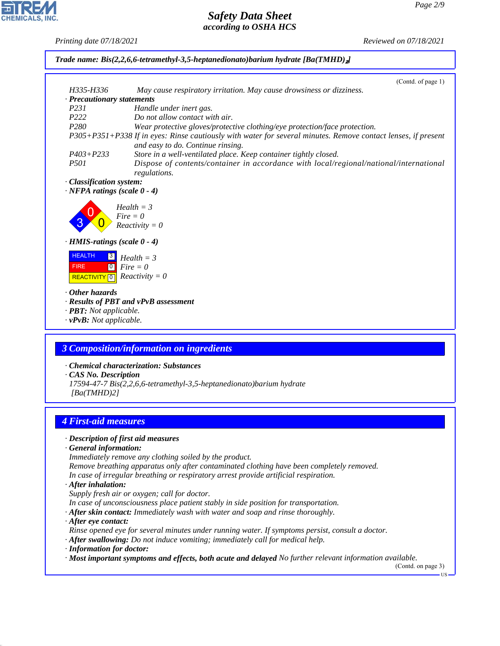44.1.1

*Printing date 07/18/2021 Reviewed on 07/18/2021*

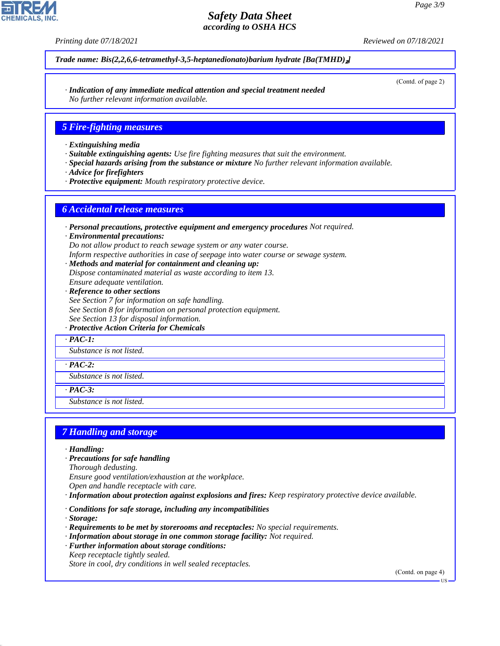*Printing date 07/18/2021 Reviewed on 07/18/2021*

*Trade name: Bis(2,2,6,6-tetramethyl-3,5-heptanedionato)barium hydrate [Ba(TMHD)*₂*]*

*· Indication of any immediate medical attention and special treatment needed No further relevant information available.*

#### *5 Fire-fighting measures*

- *· Extinguishing media*
- *· Suitable extinguishing agents: Use fire fighting measures that suit the environment.*
- *· Special hazards arising from the substance or mixture No further relevant information available.*
- *· Advice for firefighters*
- *· Protective equipment: Mouth respiratory protective device.*

#### *6 Accidental release measures*

*· Personal precautions, protective equipment and emergency procedures Not required.*

*· Environmental precautions:*

*Do not allow product to reach sewage system or any water course.*

- *Inform respective authorities in case of seepage into water course or sewage system.*
- *· Methods and material for containment and cleaning up:*

*Dispose contaminated material as waste according to item 13.*

- *Ensure adequate ventilation.*
- *· Reference to other sections*
- *See Section 7 for information on safe handling.*
- *See Section 8 for information on personal protection equipment.*
- *See Section 13 for disposal information.*
- *· Protective Action Criteria for Chemicals*

*· PAC-1:*

*Substance is not listed.*

*· PAC-2:*

*Substance is not listed.*

*· PAC-3:*

*Substance is not listed.*

#### *7 Handling and storage*

*· Handling:*

*· Precautions for safe handling*

*Thorough dedusting.*

*Ensure good ventilation/exhaustion at the workplace.*

*Open and handle receptacle with care.*

*· Information about protection against explosions and fires: Keep respiratory protective device available.*

*· Conditions for safe storage, including any incompatibilities*

*· Storage:*

44.1.1

- *· Requirements to be met by storerooms and receptacles: No special requirements.*
- *· Information about storage in one common storage facility: Not required.*
- *· Further information about storage conditions:*

*Keep receptacle tightly sealed.*

*Store in cool, dry conditions in well sealed receptacles.*

(Contd. on page 4)



(Contd. of page 2)

US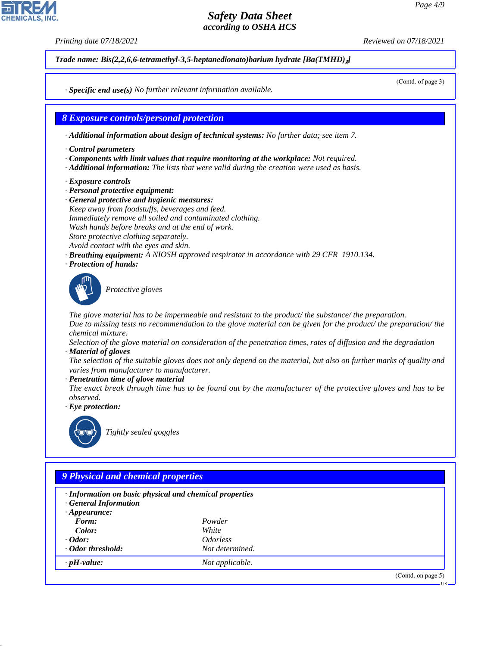*Printing date 07/18/2021 Reviewed on 07/18/2021*

*Trade name: Bis(2,2,6,6-tetramethyl-3,5-heptanedionato)barium hydrate [Ba(TMHD)*₂*]*

(Contd. of page 3)

US

*· Specific end use(s) No further relevant information available.*

*8 Exposure controls/personal protection*

*· Additional information about design of technical systems: No further data; see item 7.*

- *· Control parameters*
- *· Components with limit values that require monitoring at the workplace: Not required.*
- *· Additional information: The lists that were valid during the creation were used as basis.*
- *· Exposure controls*
- *· Personal protective equipment:*
- *· General protective and hygienic measures: Keep away from foodstuffs, beverages and feed. Immediately remove all soiled and contaminated clothing. Wash hands before breaks and at the end of work. Store protective clothing separately. Avoid contact with the eyes and skin.*
- *· Breathing equipment: A NIOSH approved respirator in accordance with 29 CFR 1910.134.*
- *· Protection of hands:*



\_S*Protective gloves*

*The glove material has to be impermeable and resistant to the product/ the substance/ the preparation. Due to missing tests no recommendation to the glove material can be given for the product/ the preparation/ the chemical mixture.*

*Selection of the glove material on consideration of the penetration times, rates of diffusion and the degradation · Material of gloves*

*The selection of the suitable gloves does not only depend on the material, but also on further marks of quality and varies from manufacturer to manufacturer.*

*· Penetration time of glove material*

*The exact break through time has to be found out by the manufacturer of the protective gloves and has to be observed.*

*· Eye protection:*



44.1.1

\_R*Tightly sealed goggles*

# *9 Physical and chemical properties*

| $\cdot$ Information on basic physical and chemical properties<br><b>General Information</b><br>$\cdot$ Appearance: |                               |                   |
|--------------------------------------------------------------------------------------------------------------------|-------------------------------|-------------------|
| Form:                                                                                                              | Powder                        |                   |
| Color:                                                                                                             | White                         |                   |
| $\cdot$ Odor:                                                                                                      | <i><u><b>Odorless</b></u></i> |                   |
| · Odor threshold:                                                                                                  | Not determined.               |                   |
| $\cdot$ pH-value:                                                                                                  | Not applicable.               |                   |
|                                                                                                                    |                               | (Cond. on page 5) |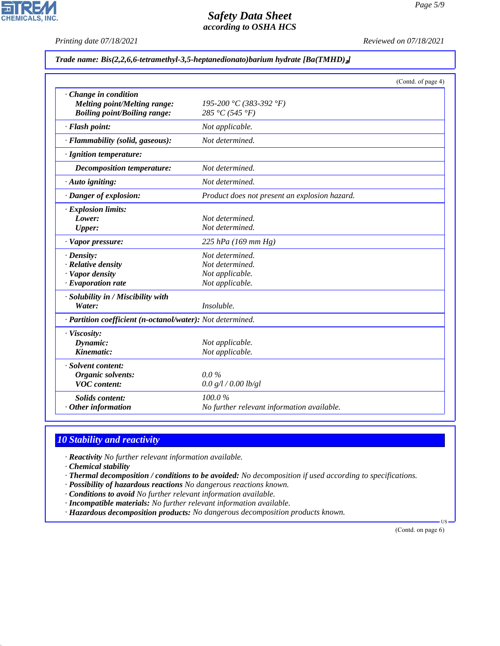*Printing date 07/18/2021 Reviewed on 07/18/2021*

#### *Trade name: Bis(2,2,6,6-tetramethyl-3,5-heptanedionato)barium hydrate [Ba(TMHD)*₂*]*

|                                                            |                                               | (Contd. of page 4) |
|------------------------------------------------------------|-----------------------------------------------|--------------------|
| Change in condition<br>Melting point/Melting range:        | 195-200 °C (383-392 °F)                       |                    |
| <b>Boiling point/Boiling range:</b>                        | 285 °C (545 °F)                               |                    |
| · Flash point:                                             | Not applicable.                               |                    |
| · Flammability (solid, gaseous):                           | Not determined.                               |                    |
| · Ignition temperature:                                    |                                               |                    |
| <b>Decomposition temperature:</b>                          | Not determined.                               |                    |
| · Auto igniting:                                           | Not determined.                               |                    |
| · Danger of explosion:                                     | Product does not present an explosion hazard. |                    |
| · Explosion limits:                                        |                                               |                    |
| Lower:                                                     | Not determined.                               |                    |
| <b>Upper:</b>                                              | Not determined.                               |                    |
| · Vapor pressure:                                          | 225 hPa (169 mm Hg)                           |                    |
| $\cdot$ Density:                                           | Not determined.                               |                    |
| · Relative density                                         | Not determined.                               |                    |
| · Vapor density                                            | Not applicable.                               |                    |
| $\cdot$ Evaporation rate                                   | Not applicable.                               |                    |
| · Solubility in / Miscibility with                         |                                               |                    |
| Water:                                                     | Insoluble.                                    |                    |
| · Partition coefficient (n-octanol/water): Not determined. |                                               |                    |
| · Viscosity:                                               |                                               |                    |
| Dynamic:                                                   | Not applicable.                               |                    |
| Kinematic:                                                 | Not applicable.                               |                    |
| · Solvent content:                                         |                                               |                    |
| <b>Organic solvents:</b>                                   | $0.0\%$                                       |                    |
| <b>VOC</b> content:                                        | 0.0 g/l / 0.00 lb/gl                          |                    |
| <b>Solids content:</b>                                     | 100.0%                                        |                    |
| $·$ Other information                                      | No further relevant information available.    |                    |

# *10 Stability and reactivity*

*· Reactivity No further relevant information available.*

*· Chemical stability*

44.1.1

- *· Thermal decomposition / conditions to be avoided: No decomposition if used according to specifications.*
- *· Possibility of hazardous reactions No dangerous reactions known.*
- *· Conditions to avoid No further relevant information available.*
- *· Incompatible materials: No further relevant information available.*
- *· Hazardous decomposition products: No dangerous decomposition products known.*

(Contd. on page 6)

US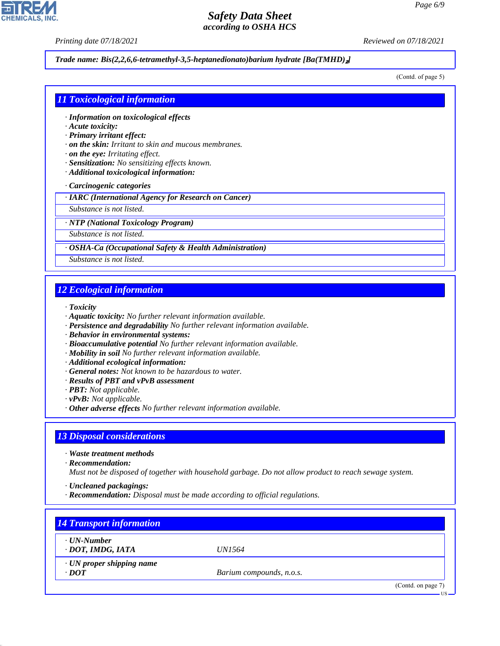*Printing date 07/18/2021 Reviewed on 07/18/2021*

#### *Trade name: Bis(2,2,6,6-tetramethyl-3,5-heptanedionato)barium hydrate [Ba(TMHD)*₂*]*

(Contd. of page 5)

#### *11 Toxicological information*

- *· Information on toxicological effects*
- *· Acute toxicity:*
- *· Primary irritant effect:*
- *· on the skin: Irritant to skin and mucous membranes.*
- *· on the eye: Irritating effect.*
- *· Sensitization: No sensitizing effects known.*
- *· Additional toxicological information:*
- *· Carcinogenic categories*

*· IARC (International Agency for Research on Cancer)*

*Substance is not listed.*

*· NTP (National Toxicology Program)*

*Substance is not listed.*

*· OSHA-Ca (Occupational Safety & Health Administration)*

*Substance is not listed.*

#### *12 Ecological information*

*· Toxicity*

- *· Aquatic toxicity: No further relevant information available.*
- *· Persistence and degradability No further relevant information available.*
- *· Behavior in environmental systems:*
- *· Bioaccumulative potential No further relevant information available.*
- *· Mobility in soil No further relevant information available.*
- *· Additional ecological information:*
- *· General notes: Not known to be hazardous to water.*
- *· Results of PBT and vPvB assessment*
- *· PBT: Not applicable.*
- *· vPvB: Not applicable.*
- *· Other adverse effects No further relevant information available.*

#### *13 Disposal considerations*

*· Waste treatment methods*

*· Recommendation:*

44.1.1

*Must not be disposed of together with household garbage. Do not allow product to reach sewage system.*

*· Uncleaned packagings:*

*· Recommendation: Disposal must be made according to official regulations.*

| · UN-Number                     |                          |  |
|---------------------------------|--------------------------|--|
| · DOT, IMDG, IATA               | <i>UN1564</i>            |  |
| $\cdot$ UN proper shipping name |                          |  |
| $\cdot$ DOT                     | Barium compounds, n.o.s. |  |

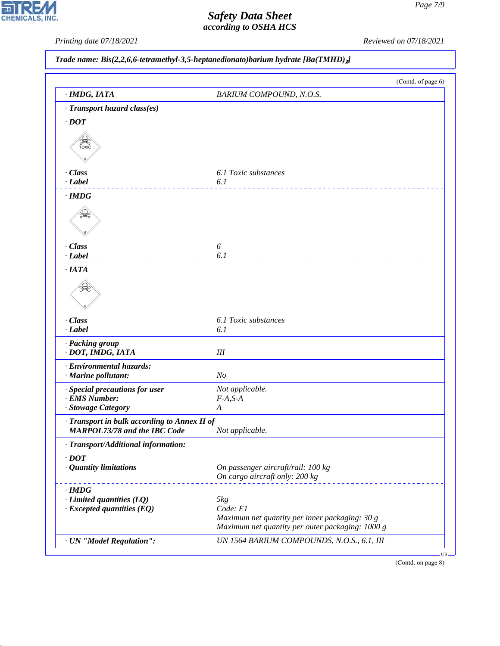*Printing date 07/18/2021 Reviewed on 07/18/2021*

|  |  |  | Trade name: Bis(2,2,6,6-tetramethyl-3,5-heptanedionato)barium hydrate [Ba(TMHD) <sub>2</sub> ] |  |  |
|--|--|--|------------------------------------------------------------------------------------------------|--|--|
|--|--|--|------------------------------------------------------------------------------------------------|--|--|

|                                                                                     | (Contd. of page 6)                                                                                                      |
|-------------------------------------------------------------------------------------|-------------------------------------------------------------------------------------------------------------------------|
| · IMDG, IATA                                                                        | BARIUM COMPOUND, N.O.S.                                                                                                 |
| · Transport hazard class(es)                                                        |                                                                                                                         |
| $\cdot$ <i>DOT</i>                                                                  |                                                                                                                         |
| SSSS)<br>TOXIC                                                                      |                                                                                                                         |
| · Class<br>$\cdot$ <i>Label</i>                                                     | 6.1 Toxic substances<br>6.1                                                                                             |
| $\cdot$ IMDG                                                                        |                                                                                                                         |
|                                                                                     |                                                                                                                         |
| · Class                                                                             | 6                                                                                                                       |
| $-Label$<br>$\cdot$ IATA                                                            | 6.1                                                                                                                     |
|                                                                                     |                                                                                                                         |
| · Class                                                                             | 6.1 Toxic substances                                                                                                    |
| $\cdot$ Label                                                                       | 6.1                                                                                                                     |
| · Packing group<br>· DOT, IMDG, IATA                                                | $I\!I\!I$                                                                                                               |
| · Environmental hazards:<br>· Marine pollutant:                                     | N <sub>o</sub>                                                                                                          |
| · Special precautions for user                                                      | Not applicable.                                                                                                         |
| · EMS Number:                                                                       | $F-A, S-A$                                                                                                              |
| · Stowage Category                                                                  | $\boldsymbol{A}$                                                                                                        |
| · Transport in bulk according to Annex II of<br>MARPOL73/78 and the IBC Code        | Not applicable.                                                                                                         |
| · Transport/Additional information:                                                 |                                                                                                                         |
| $\cdot$ <i>DOT</i>                                                                  |                                                                                                                         |
| $\cdot$ Quantity limitations                                                        | On passenger aircraft/rail: 100 kg                                                                                      |
|                                                                                     | On cargo aircraft only: 200 kg                                                                                          |
| $\cdot$ IMDG<br>$\cdot$ Limited quantities (LQ)<br>$\cdot$ Excepted quantities (EQ) | $5kg$<br>Code: E1<br>Maximum net quantity per inner packaging: 30 g<br>Maximum net quantity per outer packaging: 1000 g |
| · UN "Model Regulation":                                                            | UN 1564 BARIUM COMPOUNDS, N.O.S., 6.1, III                                                                              |

(Contd. on page 8)



44.1.1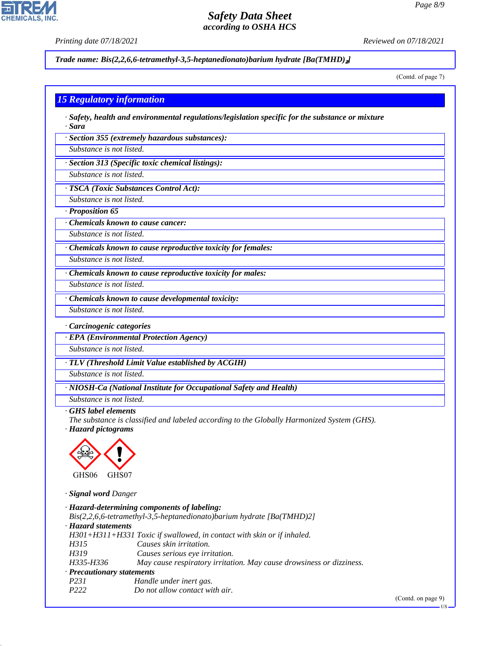**CHEMICALS, INC** 

*Printing date 07/18/2021 Reviewed on 07/18/2021*

*Trade name: Bis(2,2,6,6-tetramethyl-3,5-heptanedionato)barium hydrate [Ba(TMHD)*₂*]*

(Contd. of page 7)

|  |  | <mark>15 Regulatory information</mark> |
|--|--|----------------------------------------|
|  |  |                                        |
|  |  |                                        |

*· Safety, health and environmental regulations/legislation specific for the substance or mixture · Sara*

*· Section 355 (extremely hazardous substances):*

*Substance is not listed.*

*· Section 313 (Specific toxic chemical listings):*

*Substance is not listed.*

*· TSCA (Toxic Substances Control Act):*

*Substance is not listed.*

*· Proposition 65*

*· Chemicals known to cause cancer:*

*Substance is not listed.*

*· Chemicals known to cause reproductive toxicity for females:*

*Substance is not listed.*

*· Chemicals known to cause reproductive toxicity for males:*

*Substance is not listed.*

*· Chemicals known to cause developmental toxicity:*

*Substance is not listed.*

*· Carcinogenic categories*

*· EPA (Environmental Protection Agency)*

*Substance is not listed.*

*· TLV (Threshold Limit Value established by ACGIH)*

*Substance is not listed. · NIOSH-Ca (National Institute for Occupational Safety and Health)*

*Substance is not listed.*

*· GHS label elements*

*The substance is classified and labeled according to the Globally Harmonized System (GHS). · Hazard pictograms*



*· Signal word Danger*

44.1.1

|                                  | · Hazard-determining components of labeling:                             |
|----------------------------------|--------------------------------------------------------------------------|
|                                  | $Bis(2,2,6,6-tetramethyl-3,5-heptanedionato) barium hydrate [Ba(TMHD)2]$ |
| · Hazard statements              |                                                                          |
|                                  | $H301+H311+H331$ Toxic if swallowed, in contact with skin or if inhaled. |
| H315                             | Causes skin irritation.                                                  |
| H319                             | Causes serious eye irritation.                                           |
| H335-H336                        | May cause respiratory irritation. May cause drowsiness or dizziness.     |
| $\cdot$ Precautionary statements |                                                                          |
| P <sub>231</sub>                 | Handle under inert gas.                                                  |
| P <sub>222</sub>                 | Do not allow contact with air.                                           |